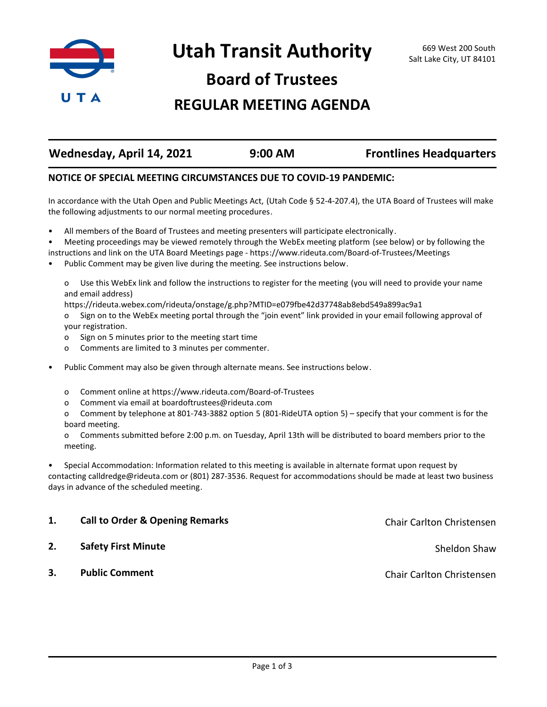

Utah Transit Authority **669 West 200 South** Salt Lake City, UT 84101

**Board of Trustees**

## **REGULAR MEETING AGENDA**

| Wednesday, April 14, 2021 | 9:00 AM | <b>Frontlines Headquarters</b> |
|---------------------------|---------|--------------------------------|
|                           |         |                                |

## **NOTICE OF SPECIAL MEETING CIRCUMSTANCES DUE TO COVID-19 PANDEMIC:**

In accordance with the Utah Open and Public Meetings Act, (Utah Code § 52-4-207.4), the UTA Board of Trustees will make the following adjustments to our normal meeting procedures.

- All members of the Board of Trustees and meeting presenters will participate electronically.
- Meeting proceedings may be viewed remotely through the WebEx meeting platform (see below) or by following the
- instructions and link on the UTA Board Meetings page https://www.rideuta.com/Board-of-Trustees/Meetings
- Public Comment may be given live during the meeting. See instructions below.

o Use this WebEx link and follow the instructions to register for the meeting (you will need to provide your name and email address)

https://rideuta.webex.com/rideuta/onstage/g.php?MTID=e079fbe42d37748ab8ebd549a899ac9a1

- o Sign on to the WebEx meeting portal through the "join event" link provided in your email following approval of your registration.
- o Sign on 5 minutes prior to the meeting start time
- o Comments are limited to 3 minutes per commenter.
- Public Comment may also be given through alternate means. See instructions below.
	- o Comment online at https://www.rideuta.com/Board-of-Trustees
	- o Comment via email at boardoftrustees@rideuta.com

o Comment by telephone at 801-743-3882 option 5 (801-RideUTA option 5) – specify that your comment is for the board meeting.

o Comments submitted before 2:00 p.m. on Tuesday, April 13th will be distributed to board members prior to the meeting.

• Special Accommodation: Information related to this meeting is available in alternate format upon request by contacting calldredge@rideuta.com or (801) 287-3536. Request for accommodations should be made at least two business days in advance of the scheduled meeting.

| 1. | <b>Call to Order &amp; Opening Remarks</b> | Chair Carlton Christensen |
|----|--------------------------------------------|---------------------------|
| 2. | <b>Safety First Minute</b>                 | Sheldon Shaw              |
| 3. | <b>Public Comment</b>                      | Chair Carlton Christensen |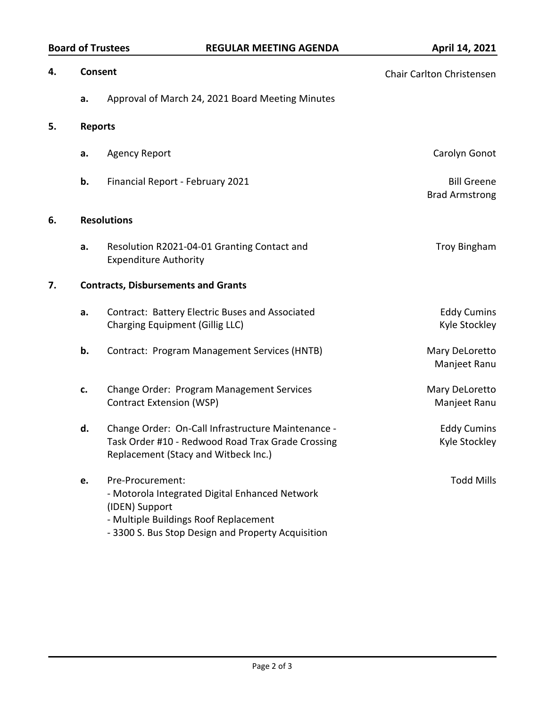| <b>Board of Trustees</b> |  |
|--------------------------|--|
|--------------------------|--|

## **BOARD REGULAR MEETING AGENDA April 14, 2021**

| 4.                   | Consent |                                                                                                                                                                                     | Chair Carlton Christensen                   |  |  |
|----------------------|---------|-------------------------------------------------------------------------------------------------------------------------------------------------------------------------------------|---------------------------------------------|--|--|
|                      | a.      | Approval of March 24, 2021 Board Meeting Minutes                                                                                                                                    |                                             |  |  |
| 5.<br><b>Reports</b> |         |                                                                                                                                                                                     |                                             |  |  |
|                      | a.      | <b>Agency Report</b>                                                                                                                                                                | Carolyn Gonot                               |  |  |
|                      | b.      | Financial Report - February 2021                                                                                                                                                    | <b>Bill Greene</b><br><b>Brad Armstrong</b> |  |  |
| 6.                   |         | <b>Resolutions</b>                                                                                                                                                                  |                                             |  |  |
|                      | a.      | Resolution R2021-04-01 Granting Contact and<br><b>Expenditure Authority</b>                                                                                                         | <b>Troy Bingham</b>                         |  |  |
| 7.                   |         | <b>Contracts, Disbursements and Grants</b>                                                                                                                                          |                                             |  |  |
|                      | a.      | Contract: Battery Electric Buses and Associated<br><b>Charging Equipment (Gillig LLC)</b>                                                                                           | <b>Eddy Cumins</b><br>Kyle Stockley         |  |  |
|                      | b.      | Contract: Program Management Services (HNTB)                                                                                                                                        | Mary DeLoretto<br>Manjeet Ranu              |  |  |
|                      | c.      | Change Order: Program Management Services<br><b>Contract Extension (WSP)</b>                                                                                                        | Mary DeLoretto<br>Manjeet Ranu              |  |  |
|                      | d.      | Change Order: On-Call Infrastructure Maintenance -<br>Task Order #10 - Redwood Road Trax Grade Crossing<br>Replacement (Stacy and Witbeck Inc.)                                     | <b>Eddy Cumins</b><br>Kyle Stockley         |  |  |
|                      | e.      | Pre-Procurement:<br>- Motorola Integrated Digital Enhanced Network<br>(IDEN) Support<br>- Multiple Buildings Roof Replacement<br>- 3300 S. Bus Stop Design and Property Acquisition | <b>Todd Mills</b>                           |  |  |